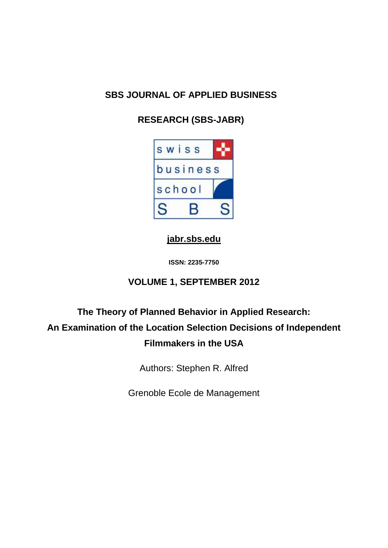# **SBS JOURNAL OF APPLIED BUSINESS**

# **RESEARCH (SBS-JABR)**



# **[jabr.sbs.edu](http://www.jabr.sbs.edu/)**

**ISSN: 2235-7750**

# **VOLUME 1, SEPTEMBER 2012**

# **The Theory of Planned Behavior in Applied Research: An Examination of the Location Selection Decisions of Independent Filmmakers in the USA**

Authors: Stephen R. Alfred

Grenoble Ecole de Management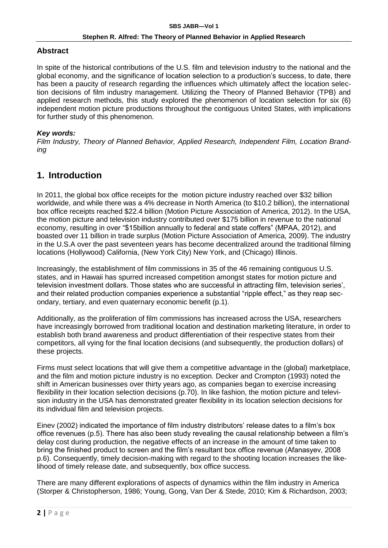### **Abstract**

In spite of the historical contributions of the U.S. film and television industry to the national and the global economy, and the significance of location selection to a production's success, to date, there has been a paucity of research regarding the influences which ultimately affect the location selection decisions of film industry management. Utilizing the Theory of Planned Behavior (TPB) and applied research methods, this study explored the phenomenon of location selection for six (6) independent motion picture productions throughout the contiguous United States, with implications for further study of this phenomenon.

### *Key words:*

*Film Industry, Theory of Planned Behavior, Applied Research, Independent Film, Location Branding*

# **1. Introduction**

In 2011, the global box office receipts for the motion picture industry reached over \$32 billion worldwide, and while there was a 4% decrease in North America (to \$10.2 billion), the international box office receipts reached \$22.4 billion (Motion Picture Association of America, 2012). In the USA, the motion picture and television industry contributed over \$175 billion in revenue to the national economy, resulting in over "\$15billion annually to federal and state coffers" (MPAA, 2012), and boasted over 11 billion in trade surplus (Motion Picture Association of America, 2009). The industry in the U.S.A over the past seventeen years has become decentralized around the traditional filming locations (Hollywood) California, (New York City) New York, and (Chicago) Illinois.

Increasingly, the establishment of film commissions in 35 of the 46 remaining contiguous U.S. states, and in Hawaii has spurred increased competition amongst states for motion picture and television investment dollars. Those states who are successful in attracting film, television series', and their related production companies experience a substantial "ripple effect," as they reap secondary, tertiary, and even quaternary economic benefit (p.1).

Additionally, as the proliferation of film commissions has increased across the USA, researchers have increasingly borrowed from traditional location and destination marketing literature, in order to establish both brand awareness and product differentiation of their respective states from their competitors, all vying for the final location decisions (and subsequently, the production dollars) of these projects.

Firms must select locations that will give them a competitive advantage in the (global) marketplace, and the film and motion picture industry is no exception. Decker and Crompton (1993) noted the shift in American businesses over thirty years ago, as companies began to exercise increasing flexibility in their location selection decisions (p.70). In like fashion, the motion picture and television industry in the USA has demonstrated greater flexibility in its location selection decisions for its individual film and television projects.

Einev (2002) indicated the importance of film industry distributors' release dates to a film's box office revenues (p.5). There has also been study revealing the causal relationship between a film's delay cost during production, the negative effects of an increase in the amount of time taken to bring the finished product to screen and the film's resultant box office revenue (Afanasyev, 2008 p.6). Consequently, timely decision-making with regard to the shooting location increases the likelihood of timely release date, and subsequently, box office success.

There are many different explorations of aspects of dynamics within the film industry in America (Storper & Christopherson, 1986; Young, Gong, Van Der & Stede, 2010; Kim & Richardson, 2003;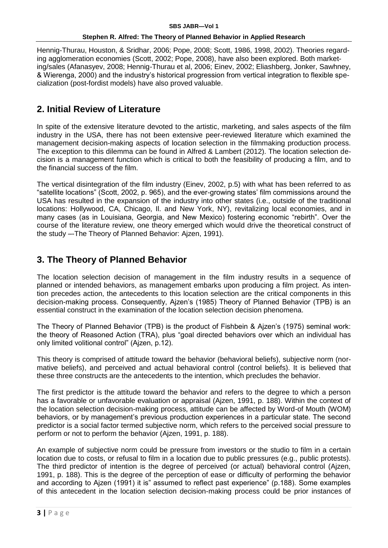Hennig-Thurau, Houston, & Sridhar, 2006; Pope, 2008; Scott, 1986, 1998, 2002). Theories regarding agglomeration economies (Scott, 2002; Pope, 2008), have also been explored. Both marketing/sales (Afanasyev, 2008; Hennig-Thurau et al, 2006; Einev, 2002; Eliashberg, Jonker, Sawhney, & Wierenga, 2000) and the industry's historical progression from vertical integration to flexible specialization (post-fordist models) have also proved valuable.

# **2. Initial Review of Literature**

In spite of the extensive literature devoted to the artistic, marketing, and sales aspects of the film industry in the USA, there has not been extensive peer-reviewed literature which examined the management decision-making aspects of location selection in the filmmaking production process. The exception to this dilemma can be found in Alfred & Lambert (2012). The location selection decision is a management function which is critical to both the feasibility of producing a film, and to the financial success of the film.

The vertical disintegration of the film industry (Einev, 2002, p.5) with what has been referred to as "satellite locations" (Scott, 2002, p. 965), and the ever-growing states' film commissions around the USA has resulted in the expansion of the industry into other states (i.e., outside of the traditional locations: Hollywood, CA, Chicago, Il. and New York, NY), revitalizing local economies, and in many cases (as in Louisiana, Georgia, and New Mexico) fostering economic "rebirth". Over the course of the literature review, one theory emerged which would drive the theoretical construct of the study –-The Theory of Planned Behavior: Ajzen, 1991).

# **3. The Theory of Planned Behavior**

The location selection decision of management in the film industry results in a sequence of planned or intended behaviors, as management embarks upon producing a film project. As intention precedes action, the antecedents to this location selection are the critical components in this decision-making process. Consequently, Ajzen's (1985) Theory of Planned Behavior (TPB) is an essential construct in the examination of the location selection decision phenomena.

The Theory of Planned Behavior (TPB) is the product of Fishbein & Ajzen's (1975) seminal work: the theory of Reasoned Action (TRA), plus "goal directed behaviors over which an individual has only limited volitional control" (Ajzen, p.12).

This theory is comprised of attitude toward the behavior (behavioral beliefs), subjective norm (normative beliefs), and perceived and actual behavioral control (control beliefs). It is believed that these three constructs are the antecedents to the intention, which precludes the behavior.

The first predictor is the attitude toward the behavior and refers to the degree to which a person has a favorable or unfavorable evaluation or appraisal (Ajzen, 1991, p. 188). Within the context of the location selection decision-making process, attitude can be affected by Word-of Mouth (WOM) behaviors, or by management's previous production experiences in a particular state. The second predictor is a social factor termed subjective norm, which refers to the perceived social pressure to perform or not to perform the behavior (Ajzen, 1991, p. 188).

An example of subjective norm could be pressure from investors or the studio to film in a certain location due to costs, or refusal to film in a location due to public pressures (e.g., public protests). The third predictor of intention is the degree of perceived (or actual) behavioral control (Ajzen, 1991, p. 188). This is the degree of the perception of ease or difficulty of performing the behavior and according to Ajzen (1991) it is" assumed to reflect past experience" (p.188). Some examples of this antecedent in the location selection decision-making process could be prior instances of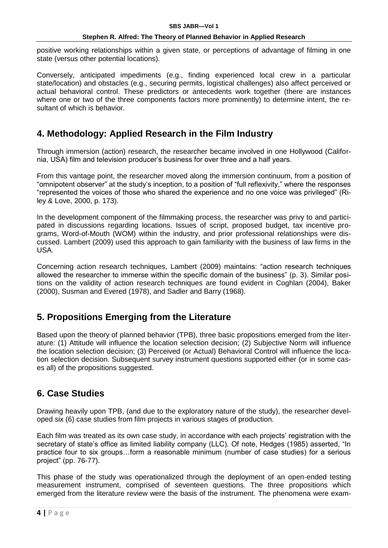positive working relationships within a given state, or perceptions of advantage of filming in one state (versus other potential locations).

Conversely, anticipated impediments (e.g., finding experienced local crew in a particular state/location) and obstacles (e.g., securing permits, logistical challenges) also affect perceived or actual behavioral control. These predictors or antecedents work together (there are instances where one or two of the three components factors more prominently) to determine intent, the resultant of which is behavior.

# **4. Methodology: Applied Research in the Film Industry**

Through immersion (action) research, the researcher became involved in one Hollywood (California, USA) film and television producer's business for over three and a half years.

From this vantage point, the researcher moved along the immersion continuum, from a position of "omnipotent observer" at the study's inception, to a position of "full reflexivity," where the responses "represented the voices of those who shared the experience and no one voice was privileged" (Riley & Love, 2000, p. 173).

In the development component of the filmmaking process, the researcher was privy to and participated in discussions regarding locations. Issues of script, proposed budget, tax incentive programs, Word-of-Mouth (WOM) within the industry, and prior professional relationships were discussed. Lambert (2009) used this approach to gain familiarity with the business of law firms in the USA.

Concerning action research techniques, Lambert (2009) maintains: "action research techniques allowed the researcher to immerse within the specific domain of the business" (p. 3). Similar positions on the validity of action research techniques are found evident in Coghlan (2004), Baker (2000), Susman and Evered (1978), and Sadler and Barry (1968).

# **5. Propositions Emerging from the Literature**

Based upon the theory of planned behavior (TPB), three basic propositions emerged from the literature: (1) Attitude will influence the location selection decision; (2) Subjective Norm will influence the location selection decision; (3) Perceived (or Actual) Behavioral Control will influence the location selection decision. Subsequent survey instrument questions supported either (or in some cases all) of the propositions suggested.

# **6. Case Studies**

Drawing heavily upon TPB, (and due to the exploratory nature of the study), the researcher developed six (6) case studies from film projects in various stages of production.

Each film was treated as its own case study, in accordance with each projects' registration with the secretary of state's office as limited liability company (LLC). Of note, Hedges (1985) asserted, "In practice four to six groups…form a reasonable minimum (number of case studies) for a serious project" (pp. 76-77).

This phase of the study was operationalized through the deployment of an open-ended testing measurement instrument, comprised of seventeen questions. The three propositions which emerged from the literature review were the basis of the instrument. The phenomena were exam-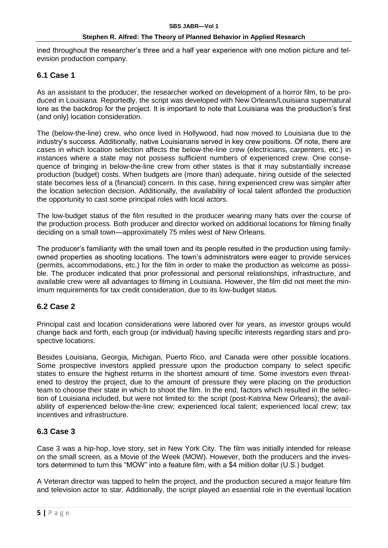ined throughout the researcher's three and a half year experience with one motion picture and television production company.

### **6.1 Case 1**

As an assistant to the producer, the researcher worked on development of a horror film, to be produced in Louisiana. Reportedly, the script was developed with New Orleans/Louisiana supernatural lore as the backdrop for the project. It is important to note that Louisiana was the production's first (and only) location consideration.

The (below-the-line) crew, who once lived in Hollywood, had now moved to Louisiana due to the industry's success. Additionally, native Louisianans served in key crew positions. Of note, there are cases in which location selection affects the below-the-line crew (electricians, carpenters, etc.) in instances where a state may not possess sufficient numbers of experienced crew. One consequence of bringing in below-the-line crew from other states is that it may substantially increase production (budget) costs. When budgets are (more than) adequate, hiring outside of the selected state becomes less of a (financial) concern. In this case, hiring experienced crew was simpler after the location selection decision. Additionally, the availability of local talent afforded the production the opportunity to cast some principal roles with local actors.

The low-budget status of the film resulted in the producer wearing many hats over the course of the production process. Both producer and director worked on additional locations for filming finally deciding on a small town—approximately 75 miles west of New Orleans.

The producer's familiarity with the small town and its people resulted in the production using familyowned properties as shooting locations. The town's administrators were eager to provide services (permits, accommodations, etc.) for the film in order to make the production as welcome as possible. The producer indicated that prior professional and personal relationships, infrastructure, and available crew were all advantages to filming in Louisiana. However, the film did not meet the minimum requirements for tax credit consideration, due to its low-budget status.

### **6.2 Case 2**

Principal cast and location considerations were labored over for years, as investor groups would change back and forth, each group (or individual) having specific interests regarding stars and prospective locations.

Besides Louisiana, Georgia, Michigan, Puerto Rico, and Canada were other possible locations. Some prospective investors applied pressure upon the production company to select specific states to ensure the highest returns in the shortest amount of time. Some investors even threatened to destroy the project, due to the amount of pressure they were placing on the production team to choose their state in which to shoot the film. In the end, factors which resulted in the selection of Louisiana included, but were not limited to: the script (post-Katrina New Orleans); the availability of experienced below-the-line crew; experienced local talent; experienced local crew; tax incentives and infrastructure.

### **6.3 Case 3**

Case 3 was a hip-hop, love story, set in New York City. The film was initially intended for release on the small screen, as a Movie of the Week (MOW). However, both the producers and the investors determined to turn this "MOW" into a feature film, with a \$4 million dollar (U.S.) budget.

A Veteran director was tapped to helm the project, and the production secured a major feature film and television actor to star. Additionally, the script played an essential role in the eventual location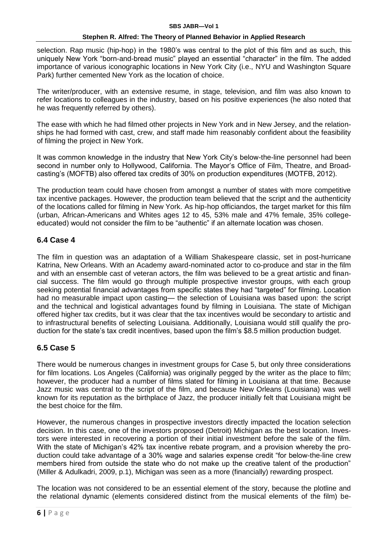selection. Rap music (hip-hop) in the 1980's was central to the plot of this film and as such, this uniquely New York "born-and-bread music" played an essential "character" in the film. The added importance of various iconographic locations in New York City (i.e., NYU and Washington Square Park) further cemented New York as the location of choice.

The writer/producer, with an extensive resume, in stage, television, and film was also known to refer locations to colleagues in the industry, based on his positive experiences (he also noted that he was frequently referred by others).

The ease with which he had filmed other projects in New York and in New Jersey, and the relationships he had formed with cast, crew, and staff made him reasonably confident about the feasibility of filming the project in New York.

It was common knowledge in the industry that New York City's below-the-line personnel had been second in number only to Hollywood, California. The Mayor's Office of Film, Theatre, and Broadcasting's (MOFTB) also offered tax credits of 30% on production expenditures (MOTFB, 2012).

The production team could have chosen from amongst a number of states with more competitive tax incentive packages. However, the production team believed that the script and the authenticity of the locations called for filming in New York. As hip-hop officiandos, the target market for this film (urban, African-Americans and Whites ages 12 to 45, 53% male and 47% female, 35% collegeeducated) would not consider the film to be "authentic" if an alternate location was chosen.

### **6.4 Case 4**

The film in question was an adaptation of a William Shakespeare classic, set in post-hurricane Katrina, New Orleans. With an Academy award-nominated actor to co-produce and star in the film and with an ensemble cast of veteran actors, the film was believed to be a great artistic and financial success. The film would go through multiple prospective investor groups, with each group seeking potential financial advantages from specific states they had "targeted" for filming. Location had no measurable impact upon casting— the selection of Louisiana was based upon: the script and the technical and logistical advantages found by filming in Louisiana. The state of Michigan offered higher tax credits, but it was clear that the tax incentives would be secondary to artistic and to infrastructural benefits of selecting Louisiana. Additionally, Louisiana would still qualify the production for the state's tax credit incentives, based upon the film's \$8.5 million production budget.

### **6.5 Case 5**

There would be numerous changes in investment groups for Case 5, but only three considerations for film locations. Los Angeles (California) was originally pegged by the writer as the place to film; however, the producer had a number of films slated for filming in Louisiana at that time. Because Jazz music was central to the script of the film, and because New Orleans (Louisiana) was well known for its reputation as the birthplace of Jazz, the producer initially felt that Louisiana might be the best choice for the film.

However, the numerous changes in prospective investors directly impacted the location selection decision. In this case, one of the investors proposed (Detroit) Michigan as the best location. Investors were interested in recovering a portion of their initial investment before the sale of the film. With the state of Michigan's 42% tax incentive rebate program, and a provision whereby the production could take advantage of a 30% wage and salaries expense credit "for below-the-line crew members hired from outside the state who do not make up the creative talent of the production" (Miller & Adulkadri, 2009, p.1), Michigan was seen as a more (financially) rewarding prospect.

The location was not considered to be an essential element of the story, because the plotline and the relational dynamic (elements considered distinct from the musical elements of the film) be-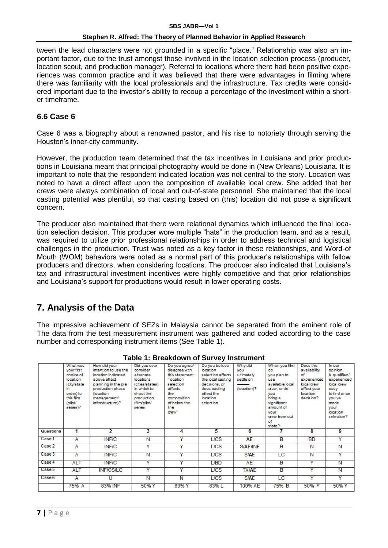tween the lead characters were not grounded in a specific "place." Relationship was also an important factor, due to the trust amongst those involved in the location selection process (producer, location scout, and production manager). Referral to locations where there had been positive experiences was common practice and it was believed that there were advantages in filming where there was familiarity with the local professionals and the infrastructure. Tax credits were considered important due to the investor's ability to recoup a percentage of the investment within a shorter timeframe.

### **6.6 Case 6**

Case 6 was a biography about a renowned pastor, and his rise to notoriety through serving the Houston's inner-city community.

However, the production team determined that the tax incentives in Louisiana and prior productions in Louisiana meant that principal photography would be done in (New Orleans) Louisiana. It is important to note that the respondent indicated location was not central to the story. Location was noted to have a direct affect upon the composition of available local crew. She added that her crews were always combination of local and out-of-state personnel. She maintained that the local casting potential was plentiful, so that casting based on (this) location did not pose a significant concern.

The producer also maintained that there were relational dynamics which influenced the final location selection decision. This producer wore multiple "hats" in the production team, and as a result, was required to utilize prior professional relationships in order to address technical and logistical challenges in the production. Trust was noted as a key factor in these relationships, and Word-of Mouth (WOM) behaviors were noted as a normal part of this producer's relationships with fellow producers and directors, when considering locations. The producer also indicated that Louisiana's tax and infrastructural investment incentives were highly competitive and that prior relationships and Louisiana's support for productions would result in lower operating costs.

# **7. Analysis of the Data**

The impressive achievement of SEZs in Malaysia cannot be separated from the eminent role of The data from the test measurement instrument was gathered and coded according to the case number and corresponding instrument items (See Table 1).

| <u>.</u><br>-------- |                 |                      |                         |                         |                   |                 |                 |                         |               |  |
|----------------------|-----------------|----------------------|-------------------------|-------------------------|-------------------|-----------------|-----------------|-------------------------|---------------|--|
|                      | <b>What was</b> | How did your         | Did you ever            | Do you agree/           | Do you believe    | Why did         | When you film   | Does the                | In our        |  |
|                      | your first      | intention to use the | consider                | disagree with           | location          | <b>VOU</b>      | do              | availability            | opinion.      |  |
|                      | choice of       | location indicated   | alternate               | this statement:         | selection affects | ultimately      | you plan to     | of                      | is qualified/ |  |
|                      | location        | above affect         | locations               | "location               | the local casting | settle on       | <b>USA</b>      | experienced             | experienced   |  |
|                      | (city/state)    | planning in the pre  | (cities/states)         | selection               | decisions, or     |                 | available local | local crew              | local crew    |  |
|                      | in.             | production phase     | in which to             | affects                 | does casting      | (location)?     | arew, or do     | affect your             | easy          |  |
|                      | order) to       | (location            | shoot the               | the                     | affect the        |                 | vou             | location                | to find once  |  |
|                      | this film       | management/          | production              | composition             | location          |                 | bring a         | decision?               | you've        |  |
|                      | (pilot/         | infrastructure)?     | (film/pilot/            | of below-the-           | selection         |                 | significant     |                         | made          |  |
|                      | series)?        |                      | series                  | line                    |                   |                 | amount of       |                         | <b>VOUI</b>   |  |
|                      |                 |                      |                         | arew"                   |                   |                 | vour            |                         | location      |  |
|                      |                 |                      |                         |                         |                   |                 | crew from out   |                         | selection?    |  |
|                      |                 |                      |                         |                         |                   |                 | of<br>state?    |                         |               |  |
|                      |                 |                      |                         |                         |                   |                 |                 |                         |               |  |
| <b>Questions</b>     | 1               | 2                    | 3                       | 4                       | 5                 | 6               |                 | 8                       | 9             |  |
| Case 1               | А               | <b>INF/C</b>         | N                       | v                       | L <sub>CS</sub>   | <b>AE</b>       | в               | <b>BD</b>               | Y             |  |
| Case 2               | А               | <b>INF/C</b>         | $\overline{\mathsf{v}}$ | v                       | <b>LICS</b>       | <b>S/AE/INF</b> | в               | N                       | Ν             |  |
| Case 3               | А               | <b>INF/C</b>         | Ν                       | v                       | <b>L/CS</b>       | <b>S/AE</b>     | LC              | N                       | v             |  |
|                      |                 |                      |                         |                         |                   |                 |                 |                         |               |  |
| Case 4               | <b>ALT</b>      | <b>INF/C</b>         | Y                       | Y                       | L/BD              | AE              | в               | v                       | N             |  |
| Case 5               | <b>ALT</b>      | <b>INF/OS/LC</b>     | $\overline{\mathbf{v}}$ | $\overline{\mathbf{v}}$ | <b>LICS</b>       | <b>TX/AE</b>    | в               | $\overline{\mathsf{v}}$ | N             |  |
| Case 6               | А               | U                    | N                       | Ν                       | <b>L/CS</b>       | <b>S/AE</b>     | <b>LC</b>       | $\overline{\mathsf{v}}$ | Y             |  |
|                      | 75% A           | 83% INF              | 50% Y                   | 83% Y                   | 83%L              | 100% AE         | 75% B           | 50% Y                   | 50% Y         |  |
|                      |                 |                      |                         |                         |                   |                 |                 |                         |               |  |

**Table 1: Breakdown of Survey Instrument**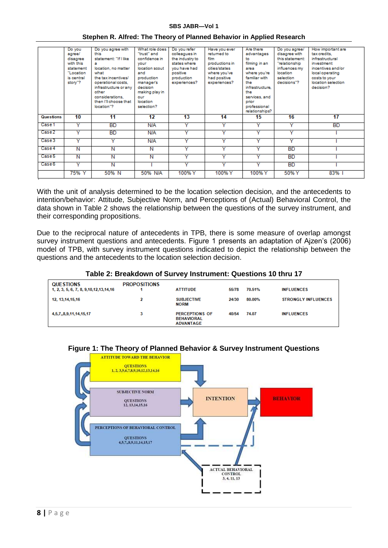#### **SBS JABR—Vol 1**

|           | Do you<br>agree/                                                         | Do you agree with<br>this                                                                                                                                                                     | What role does<br>"trust" and                                                                                                                   | Do you refer<br>colleagues in                                                             | Have you ever<br>returned to                                                            | Are there<br>advantages                                                                                                                                 | Do you agree/<br>disagree with                                                            | How important are<br>tax credits.                                                                                         |
|-----------|--------------------------------------------------------------------------|-----------------------------------------------------------------------------------------------------------------------------------------------------------------------------------------------|-------------------------------------------------------------------------------------------------------------------------------------------------|-------------------------------------------------------------------------------------------|-----------------------------------------------------------------------------------------|---------------------------------------------------------------------------------------------------------------------------------------------------------|-------------------------------------------------------------------------------------------|---------------------------------------------------------------------------------------------------------------------------|
|           | disagree<br>with this<br>statement<br>"Location<br>is central<br>story"? | statement: "If I like<br>location, no matter<br>what<br>the tax incentives/<br>operational costs,<br>infrastructure or any<br>other<br>considerations.<br>then I'll choose that<br>location"? | confidence in<br>vour<br>location scout<br>and<br>production<br>manager's<br>decision<br>making play in<br>our<br><b>Incation</b><br>selection? | the industry to<br>states where<br>you have had<br>positive<br>production<br>experiences? | film<br>productions in<br>cities/states<br>where you've<br>had positive<br>experiences? | to<br>filming in an<br>area<br>where you're<br>familiar with<br>the<br>infrastructure<br>the<br>services and<br>prior<br>professional<br>relationships? | this statement:<br>"relationship<br>influences my<br>location<br>selection<br>decisions"? | infrastructural<br>investment<br>incentives and/or<br>local operating<br>costs to your<br>location selection<br>decision? |
|           |                                                                          |                                                                                                                                                                                               |                                                                                                                                                 |                                                                                           |                                                                                         |                                                                                                                                                         |                                                                                           |                                                                                                                           |
| Questions | 10                                                                       | 11                                                                                                                                                                                            | 12                                                                                                                                              | 13                                                                                        | 14                                                                                      | 15                                                                                                                                                      | 16                                                                                        | 17                                                                                                                        |
| Case 1    | v                                                                        | <b>BD</b>                                                                                                                                                                                     | N/A                                                                                                                                             | Y                                                                                         | v                                                                                       | Y                                                                                                                                                       | Y                                                                                         | <b>BD</b>                                                                                                                 |
| Case 2    | $\checkmark$                                                             | <b>BD</b>                                                                                                                                                                                     | N/A                                                                                                                                             | v                                                                                         |                                                                                         | Y                                                                                                                                                       | $\bar{\mathbf{v}}$                                                                        |                                                                                                                           |
| Case 3    | v                                                                        | v                                                                                                                                                                                             | N/A                                                                                                                                             | Y                                                                                         | v                                                                                       | v                                                                                                                                                       | Y                                                                                         |                                                                                                                           |
| Case 4    | N                                                                        | N                                                                                                                                                                                             | N                                                                                                                                               | Y                                                                                         | Ÿ                                                                                       | Y                                                                                                                                                       | <b>BD</b>                                                                                 |                                                                                                                           |
| Case 5    | $\overline{\mathsf{N}}$                                                  | Ñ                                                                                                                                                                                             | Ñ                                                                                                                                               | v                                                                                         | $\overline{\mathsf{v}}$                                                                 | v                                                                                                                                                       | <b>BD</b>                                                                                 |                                                                                                                           |
| Case 6    | v                                                                        | Ν                                                                                                                                                                                             |                                                                                                                                                 | v                                                                                         |                                                                                         | v                                                                                                                                                       | <b>BD</b>                                                                                 |                                                                                                                           |

#### **Stephen R. Alfred: The Theory of Planned Behavior in Applied Research**

With the unit of analysis determined to be the location selection decision, and the antecedents to intention/behavior: Attitude, Subjective Norm, and Perceptions of (Actual) Behavioral Control, the data shown in Table 2 shows the relationship between the questions of the survey instrument, and their corresponding propositions.

Due to the reciprocal nature of antecedents in TPB, there is some measure of overlap amongst survey instrument questions and antecedents. Figure 1 presents an adaptation of Ajzen's (2006) model of TPB, with survey instrument questions indicated to depict the relationship between the questions and the antecedents to the location selection decision.

#### **Table 2: Breakdown of Survey Instrument: Questions 10 thru 17**

| <b>QUESTIONS</b><br>1, 2, 3, 5, 6, 7, 8, 9, 10, 12, 13, 14, 16 | <b>PROPOSITIONS</b> | <b>ATTITUDE</b>                                                | 55/78 | 70.51% | <b>INFLUENCES</b>          |
|----------------------------------------------------------------|---------------------|----------------------------------------------------------------|-------|--------|----------------------------|
| 12, 13, 14, 15, 16                                             | 2                   | <b>SUBJECTIVE</b><br><b>NORM</b>                               | 24/30 | 80.00% | <b>STRONGLY INFLUENCES</b> |
| 4,5,7,,8,9,11,14,15,17                                         | 3                   | <b>PERCEPTIONS OF</b><br><b>BEHAVIORAL</b><br><b>ADVANTAGE</b> | 40/54 | 74.07  | <b>INFLUENCES</b>          |

### **Figure 1: The Theory of Planned Behavior & Survey Instrument Questions**

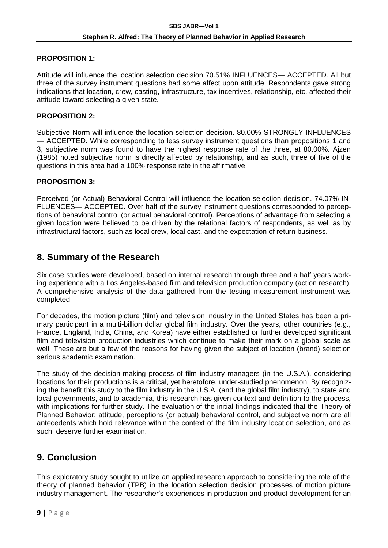### **PROPOSITION 1:**

Attitude will influence the location selection decision 70.51% INFLUENCES— ACCEPTED. All but three of the survey instrument questions had some affect upon attitude. Respondents gave strong indications that location, crew, casting, infrastructure, tax incentives, relationship, etc. affected their attitude toward selecting a given state.

### **PROPOSITION 2:**

Subjective Norm will influence the location selection decision. 80.00% STRONGLY INFLUENCES — ACCEPTED. While corresponding to less survey instrument questions than propositions 1 and 3, subjective norm was found to have the highest response rate of the three, at 80.00%. Ajzen (1985) noted subjective norm is directly affected by relationship, and as such, three of five of the questions in this area had a 100% response rate in the affirmative.

### **PROPOSITION 3:**

Perceived (or Actual) Behavioral Control will influence the location selection decision. 74.07% IN-FLUENCES— ACCEPTED. Over half of the survey instrument questions corresponded to perceptions of behavioral control (or actual behavioral control). Perceptions of advantage from selecting a given location were believed to be driven by the relational factors of respondents, as well as by infrastructural factors, such as local crew, local cast, and the expectation of return business.

# **8. Summary of the Research**

Six case studies were developed, based on internal research through three and a half years working experience with a Los Angeles-based film and television production company (action research). A comprehensive analysis of the data gathered from the testing measurement instrument was completed.

For decades, the motion picture (film) and television industry in the United States has been a primary participant in a multi-billion dollar global film industry. Over the years, other countries (e.g., France, England, India, China, and Korea) have either established or further developed significant film and television production industries which continue to make their mark on a global scale as well. These are but a few of the reasons for having given the subject of location (brand) selection serious academic examination.

The study of the decision-making process of film industry managers (in the U.S.A.), considering locations for their productions is a critical, yet heretofore, under-studied phenomenon. By recognizing the benefit this study to the film industry in the U.S.A. (and the global film industry), to state and local governments, and to academia, this research has given context and definition to the process, with implications for further study. The evaluation of the initial findings indicated that the Theory of Planned Behavior: attitude, perceptions (or actual) behavioral control, and subjective norm are all antecedents which hold relevance within the context of the film industry location selection, and as such, deserve further examination.

# **9. Conclusion**

This exploratory study sought to utilize an applied research approach to considering the role of the theory of planned behavior (TPB) in the location selection decision processes of motion picture industry management. The researcher's experiences in production and product development for an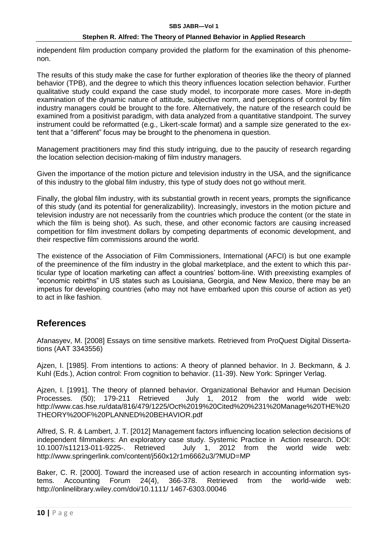independent film production company provided the platform for the examination of this phenomenon.

The results of this study make the case for further exploration of theories like the theory of planned behavior (TPB), and the degree to which this theory influences location selection behavior. Further qualitative study could expand the case study model, to incorporate more cases. More in-depth examination of the dynamic nature of attitude, subjective norm, and perceptions of control by film industry managers could be brought to the fore. Alternatively, the nature of the research could be examined from a positivist paradigm, with data analyzed from a quantitative standpoint. The survey instrument could be reformatted (e.g., Likert-scale format) and a sample size generated to the extent that a "different" focus may be brought to the phenomena in question.

Management practitioners may find this study intriguing, due to the paucity of research regarding the location selection decision-making of film industry managers.

Given the importance of the motion picture and television industry in the USA, and the significance of this industry to the global film industry, this type of study does not go without merit.

Finally, the global film industry, with its substantial growth in recent years, prompts the significance of this study (and its potential for generalizability). Increasingly, investors in the motion picture and television industry are not necessarily from the countries which produce the content (or the state in which the film is being shot). As such, these, and other economic factors are causing increased competition for film investment dollars by competing departments of economic development, and their respective film commissions around the world.

The existence of the Association of Film Commissioners, International (AFCI) is but one example of the preeminence of the film industry in the global marketplace, and the extent to which this particular type of location marketing can affect a countries' bottom-line. With preexisting examples of "economic rebirths" in US states such as Louisiana, Georgia, and New Mexico, there may be an impetus for developing countries (who may not have embarked upon this course of action as yet) to act in like fashion.

# **References**

Afanasyev, M. [2008] Essays on time sensitive markets. Retrieved from ProQuest Digital Dissertations (AAT 3343556)

Ajzen, I. [1985]. From intentions to actions: A theory of planned behavior. In J. Beckmann, & J. Kuhl (Eds.), Action control: From cognition to behavior. (11-39). New York: Springer Verlag.

Ajzen, I. [1991]. The theory of planned behavior. Organizational Behavior and Human Decision Processes. (50); 179-211 Retrieved July 1, 2012 from the world wide web: http://www.cas.hse.ru/data/816/479/1225/Oct%2019%20Cited%20%231%20Manage%20THE%20 THEORY%20OF%20PLANNED%20BEHAVIOR.pdf

Alfred, S. R. & Lambert, J. T. [2012] Management factors influencing location selection decisions of independent filmmakers: An exploratory case study. Systemic Practice in Action research. DOI: 10.1007/s11213-011-9225-. Retrieved July 1, 2012 from the world wide web: http://www.springerlink.com/content/j560x12r1m6662u3/?MUD=MP

Baker, C. R. [2000]. Toward the increased use of action research in accounting information systems. Accounting Forum 24(4), 366-378. Retrieved from the world-wide web: http://onlinelibrary.wiley.com/doi/10.1111/ 1467-6303.00046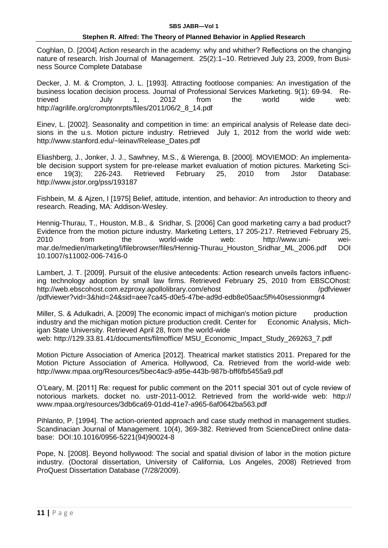Coghlan, D. [2004] Action research in the academy: why and whither? Reflections on the changing nature of research. Irish Journal of Management. 25(2):1–10. Retrieved July 23, 2009, from Business Source Complete Database

Decker, J. M. & Crompton, J. L. [1993]. Attracting footloose companies: An investigation of the business location decision process. Journal of Professional Services Marketing. 9(1): 69-94. Retrieved July 1, 2012 from the world wide web: http://agrilife.org/cromptonrpts/files/2011/06/2\_8\_14.pdf

Einev, L. [2002]. Seasonality and competition in time: an empirical analysis of Release date decisions in the u.s. Motion picture industry. Retrieved July 1, 2012 from the world wide web: http://www.stanford.edu/~leinav/Release\_Dates.pdf

Eliashberg, J., Jonker, J. J., Sawhney, M.S., & Wierenga, B. [2000]. MOVIEMOD: An implementable decision support system for pre-release market evaluation of motion pictures. Marketing Science 19(3); 226-243. Retrieved February 25, 2010 from Jstor Database: http://www.jstor.org/pss/193187

Fishbein, M. & Ajzen, I [1975] Belief, attitude, intention, and behavior: An introduction to theory and research. Reading, MA: Addison-Wesley.

Hennig-Thurau, T., Houston, M.B., & Sridhar, S. [2006] Can good marketing carry a bad product? Evidence from the motion picture industry. Marketing Letters, 17 205-217. Retrieved February 25, 2010 from the world-wide web: http://www.uni- weimar.de/medien/marketing/l/filebrowser/files/Hennig-Thurau\_Houston\_Sridhar\_ML\_2006.pdf DOI 10.1007/s11002-006-7416-0

Lambert, J. T. [2009]. Pursuit of the elusive antecedents: Action research unveils factors influencing technology adoption by small law firms. Retrieved February 25, 2010 from EBSCOhost: http://web.ebscohost.com.ezproxy.apollolibrary.com/ehost /pdfviewer /pdfviewer?vid=3&hid=24&sid=aee7ca45-d0e5-47be-ad9d-edb8e05aac5f%40sessionmgr4

Miller, S. & Adulkadri, A. [2009] The economic impact of michigan's motion picture production industry and the michigan motion picture production credit. Center for Economic Analysis, Michigan State University. Retrieved April 28, from the world-wide web: http://129.33.81.41/documents/filmoffice/ MSU\_Economic\_Impact\_Study\_269263\_7.pdf

Motion Picture Association of America [2012]. Theatrical market statistics 2011. Prepared for the Motion Picture Association of America. Hollywood, Ca. Retrieved from the world-wide web: http://www.mpaa.org/Resources/5bec4ac9-a95e-443b-987b-bff6fb5455a9.pdf

O'Leary, M. [2011] Re: request for public comment on the 2011 special 301 out of cycle review of notorious markets. docket no. ustr-2011-0012. Retrieved from the world-wide web: http:// www.mpaa.org/resources/3db6ca69-01dd-41e7-a965-6af0642ba563.pdf

Pihlanto, P. [1994]. The action-oriented approach and case study method in management studies. Scandinacian Journal of Management. 10(4), 369-382. Retrieved from ScienceDirect online database: DOI:10.1016/0956-5221(94)90024-8

Pope, N. [2008]. Beyond hollywood: The social and spatial division of labor in the motion picture industry. (Doctoral dissertation, University of California, Los Angeles, 2008) Retrieved from ProQuest Dissertation Database (7/28/2009).